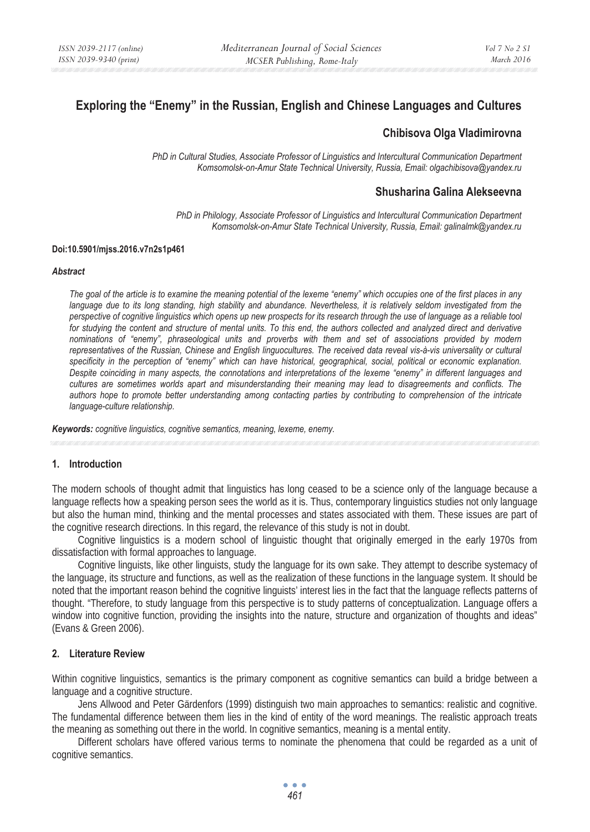# **Exploring the "Enemy" in the Russian, English and Chinese Languages and Cultures**

# **Chibisova Olga Vladimirovna**

*PhD in Cultural Studies, Associate Professor of Linguistics and Intercultural Communication Department Komsomolsk-on-Amur State Technical University, Russia, Email: olgachibisova@yandex.ru* 

### **Shusharina Galina Alekseevna**

*PhD in Philology, Associate Professor of Linguistics and Intercultural Communication Department Komsomolsk-on-Amur State Technical University, Russia, Email: galinalmk@yandex.ru* 

#### **Doi:10.5901/mjss.2016.v7n2s1p461**

#### *Abstract*

*The goal of the article is to examine the meaning potential of the lexeme "enemy" which occupies one of the first places in any* language due to its long standing, high stability and abundance. Nevertheless, it is relatively seldom investigated from the *perspective of cognitive linguistics which opens up new prospects for its research through the use of language as a reliable tool*  for studying the content and structure of mental units. To this end, the authors collected and analyzed direct and derivative *nominations of "enemy", phraseological units and proverbs with them and set of associations provided by modern representatives of the Russian, Chinese and English linguocultures. The received data reveal vis-à-vis universality or cultural specificity in the perception of "enemy" which can have historical, geographical, social, political or economic explanation. Despite coinciding in many aspects, the connotations and interpretations of the lexeme "enemy" in different languages and cultures are sometimes worlds apart and misunderstanding their meaning may lead to disagreements and conflicts. The authors hope to promote better understanding among contacting parties by contributing to comprehension of the intricate language-culture relationship.* 

*Keywords: cognitive linguistics, cognitive semantics, meaning, lexeme, enemy.*

#### **1. Introduction**

The modern schools of thought admit that linguistics has long ceased to be a science only of the language because a language reflects how a speaking person sees the world as it is. Thus, contemporary linguistics studies not only language but also the human mind, thinking and the mental processes and states associated with them. These issues are part of the cognitive research directions. In this regard, the relevance of this study is not in doubt.

Cognitive linguistics is a modern school of linguistic thought that originally emerged in the early 1970s from dissatisfaction with formal approaches to language.

Cognitive linguists, like other linguists, study the language for its own sake. They attempt to describe systemacy of the language, its structure and functions, as well as the realization of these functions in the language system. It should be noted that the important reason behind the cognitive linguists' interest lies in the fact that the language reflects patterns of thought. "Therefore, to study language from this perspective is to study patterns of conceptualization. Language offers a window into cognitive function, providing the insights into the nature, structure and organization of thoughts and ideas" (Evans & Green 2006).

#### **2. Literature Review**

Within cognitive linguistics, semantics is the primary component as cognitive semantics can build a bridge between a language and a cognitive structure.

Jens Allwood and Peter Gärdenfors (1999) distinguish two main approaches to semantics: realistic and cognitive. The fundamental difference between them lies in the kind of entity of the word meanings. The realistic approach treats the meaning as something out there in the world. In cognitive semantics, meaning is a mental entity.

Different scholars have offered various terms to nominate the phenomena that could be regarded as a unit of cognitive semantics.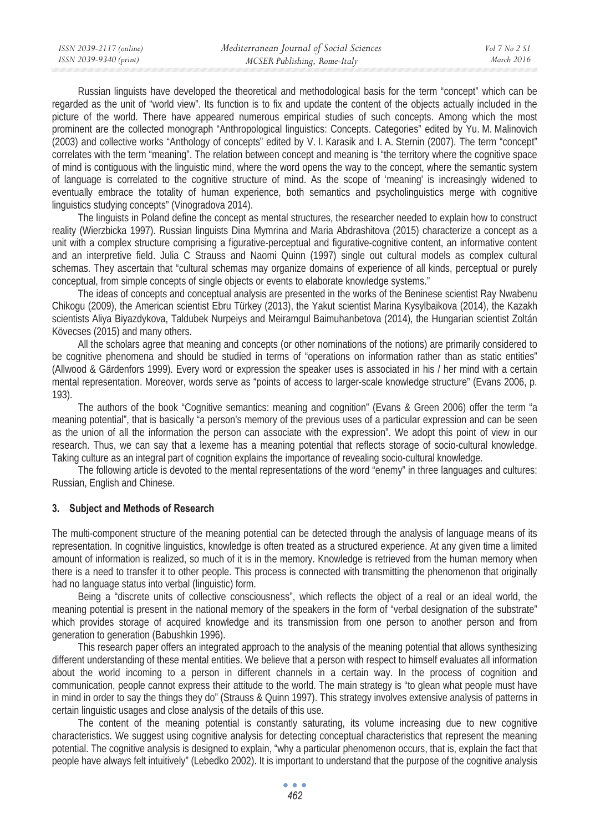Russian linguists have developed the theoretical and methodological basis for the term "concept" which can be regarded as the unit of "world view". Its function is to fix and update the content of the objects actually included in the picture of the world. There have appeared numerous empirical studies of such concepts. Among which the most prominent are the collected monograph "Anthropological linguistics: Concepts. Categories" edited by Yu. M. Malinovich (2003) and collective works "Anthology of concepts" edited by V. I. Karasik and I. A. Sternin (2007). The term "concept" correlates with the term "meaning". The relation between concept and meaning is "the territory where the cognitive space of mind is contiguous with the linguistic mind, where the word opens the way to the concept, where the semantic system of language is correlated to the cognitive structure of mind. As the scope of 'meaning' is increasingly widened to eventually embrace the totality of human experience, both semantics and psycholinguistics merge with cognitive linguistics studying concepts" (Vinogradova 2014).

The linguists in Poland define the concept as mental structures, the researcher needed to explain how to construct reality (Wierzbicka 1997). Russian linguists Dina Mymrina and Maria Abdrashitova (2015) characterize a concept as a unit with a complex structure comprising a figurative-perceptual and figurative-cognitive content, an informative content and an interpretive field. Julia C Strauss and Naomi Quinn (1997) single out cultural models as complex cultural schemas. They ascertain that "cultural schemas may organize domains of experience of all kinds, perceptual or purely conceptual, from simple concepts of single objects or events to elaborate knowledge systems."

The ideas of concepts and conceptual analysis are presented in the works of the Beninese scientist Ray Nwabenu Chikogu (2009), the American scientist Ebru Türkey (2013), the Yakut scientist Marina Kysylbaikova (2014), the Kazakh scientists Aliya Biyazdykova, Taldubek Nurpeiys and Meiramgul Baimuhanbetova (2014), the Hungarian scientist Zoltán Kövecses (2015) and many others.

All the scholars agree that meaning and concepts (or other nominations of the notions) are primarily considered to be cognitive phenomena and should be studied in terms of "operations on information rather than as static entities" (Allwood & Gärdenfors 1999). Every word or expression the speaker uses is associated in his / her mind with a certain mental representation. Moreover, words serve as "points of access to larger-scale knowledge structure" (Evans 2006, p. 193).

The authors of the book "Cognitive semantics: meaning and cognition" (Evans & Green 2006) offer the term "a meaning potential", that is basically "a person's memory of the previous uses of a particular expression and can be seen as the union of all the information the person can associate with the expression". We adopt this point of view in our research. Thus, we can say that a lexeme has a meaning potential that reflects storage of socio-cultural knowledge. Taking culture as an integral part of cognition explains the importance of revealing socio-cultural knowledge.

The following article is devoted to the mental representations of the word "enemy" in three languages and cultures: Russian, English and Chinese.

#### **3. Subject and Methods of Research**

The multi-component structure of the meaning potential can be detected through the analysis of language means of its representation. In cognitive linguistics, knowledge is often treated as a structured experience. At any given time a limited amount of information is realized, so much of it is in the memory. Knowledge is retrieved from the human memory when there is a need to transfer it to other people. This process is connected with transmitting the phenomenon that originally had no language status into verbal (linguistic) form.

Being a "discrete units of collective consciousness", which reflects the object of a real or an ideal world, the meaning potential is present in the national memory of the speakers in the form of "verbal designation of the substrate" which provides storage of acquired knowledge and its transmission from one person to another person and from generation to generation (Babushkin 1996).

This research paper offers an integrated approach to the analysis of the meaning potential that allows synthesizing different understanding of these mental entities. We believe that a person with respect to himself evaluates all information about the world incoming to a person in different channels in a certain way. In the process of cognition and communication, people cannot express their attitude to the world. The main strategy is "to glean what people must have in mind in order to say the things they do" (Strauss & Quinn 1997). This strategy involves extensive analysis of patterns in certain linguistic usages and close analysis of the details of this use.

The content of the meaning potential is constantly saturating, its volume increasing due to new cognitive characteristics. We suggest using cognitive analysis for detecting conceptual characteristics that represent the meaning potential. The cognitive analysis is designed to explain, "why a particular phenomenon occurs, that is, explain the fact that people have always felt intuitively" (Lebedko 2002). It is important to understand that the purpose of the cognitive analysis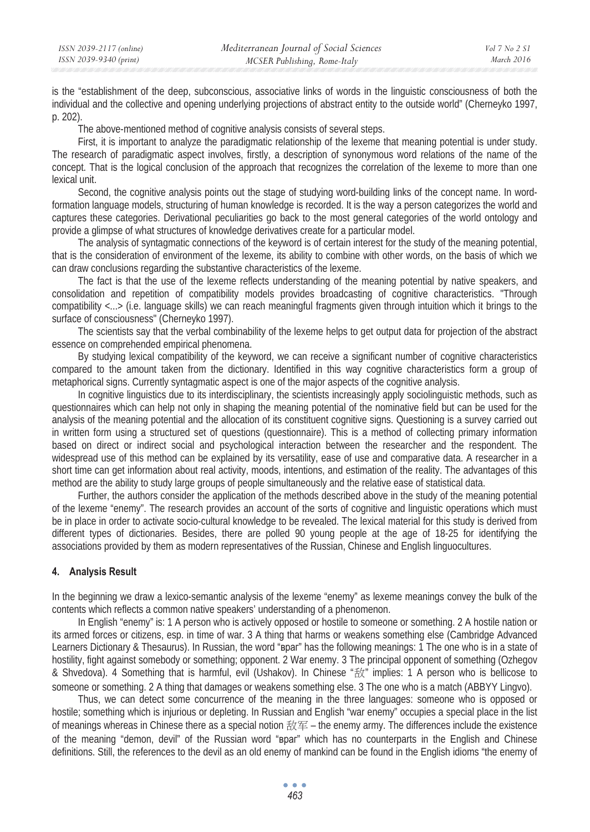is the "establishment of the deep, subconscious, associative links of words in the linguistic consciousness of both the individual and the collective and opening underlying projections of abstract entity to the outside world" (Cherneyko 1997, p. 202).

The above-mentioned method of cognitive analysis consists of several steps.

First, it is important to analyze the paradigmatic relationship of the lexeme that meaning potential is under study. The research of paradigmatic aspect involves, firstly, a description of synonymous word relations of the name of the concept. That is the logical conclusion of the approach that recognizes the correlation of the lexeme to more than one lexical unit.

Second, the cognitive analysis points out the stage of studying word-building links of the concept name. In wordformation language models, structuring of human knowledge is recorded. It is the way a person categorizes the world and captures these categories. Derivational peculiarities go back to the most general categories of the world ontology and provide a glimpse of what structures of knowledge derivatives create for a particular model.

The analysis of syntagmatic connections of the keyword is of certain interest for the study of the meaning potential, that is the consideration of environment of the lexeme, its ability to combine with other words, on the basis of which we can draw conclusions regarding the substantive characteristics of the lexeme.

The fact is that the use of the lexeme reflects understanding of the meaning potential by native speakers, and consolidation and repetition of compatibility models provides broadcasting of cognitive characteristics. "Through compatibility <...> (i.e. language skills) we can reach meaningful fragments given through intuition which it brings to the surface of consciousness" (Cherneyko 1997).

The scientists say that the verbal combinability of the lexeme helps to get output data for projection of the abstract essence on comprehended empirical phenomena.

By studying lexical compatibility of the keyword, we can receive a significant number of cognitive characteristics compared to the amount taken from the dictionary. Identified in this way cognitive characteristics form a group of metaphorical signs. Currently syntagmatic aspect is one of the major aspects of the cognitive analysis.

In cognitive linguistics due to its interdisciplinary, the scientists increasingly apply sociolinguistic methods, such as questionnaires which can help not only in shaping the meaning potential of the nominative field but can be used for the analysis of the meaning potential and the allocation of its constituent cognitive signs. Questioning is a survey carried out in written form using a structured set of questions (questionnaire). This is a method of collecting primary information based on direct or indirect social and psychological interaction between the researcher and the respondent. The widespread use of this method can be explained by its versatility, ease of use and comparative data. A researcher in a short time can get information about real activity, moods, intentions, and estimation of the reality. The advantages of this method are the ability to study large groups of people simultaneously and the relative ease of statistical data.

Further, the authors consider the application of the methods described above in the study of the meaning potential of the lexeme "enemy". The research provides an account of the sorts of cognitive and linguistic operations which must be in place in order to activate socio-cultural knowledge to be revealed. The lexical material for this study is derived from different types of dictionaries. Besides, there are polled 90 young people at the age of 18-25 for identifying the associations provided by them as modern representatives of the Russian, Chinese and English linguocultures.

## **4. Analysis Result**

In the beginning we draw a lexico-semantic analysis of the lexeme "enemy" as lexeme meanings convey the bulk of the contents which reflects a common native speakers' understanding of a phenomenon.

In English "enemy" is: 1 A person who is actively opposed or hostile to someone or something. 2 A hostile nation or its armed forces or citizens, esp. in time of war. 3 A thing that harms or weakens something else (Cambridge Advanced Learners Dictionary & Thesaurus). In Russian, the word "**apar**" has the following meanings: 1 The one who is in a state of hostility, fight against somebody or something; opponent. 2 War enemy. 3 The principal opponent of something (Ozhegov & Shvedova). 4 Something that is harmful, evil (Ushakov). In Chinese " $\frac{4}{50}$ " implies: 1 A person who is bellicose to someone or something. 2 A thing that damages or weakens something else. 3 The one who is a match (ABBYY Lingvo).

Thus, we can detect some concurrence of the meaning in the three languages: someone who is opposed or hostile; something which is injurious or depleting. In Russian and English "war enemy" occupies a special place in the list of meanings whereas in Chinese there as a special notion 敌军 – the enemy army. The differences include the existence of the meaning "demon, devil" of the Russian word "Bpar" which has no counterparts in the English and Chinese definitions. Still, the references to the devil as an old enemy of mankind can be found in the English idioms "the enemy of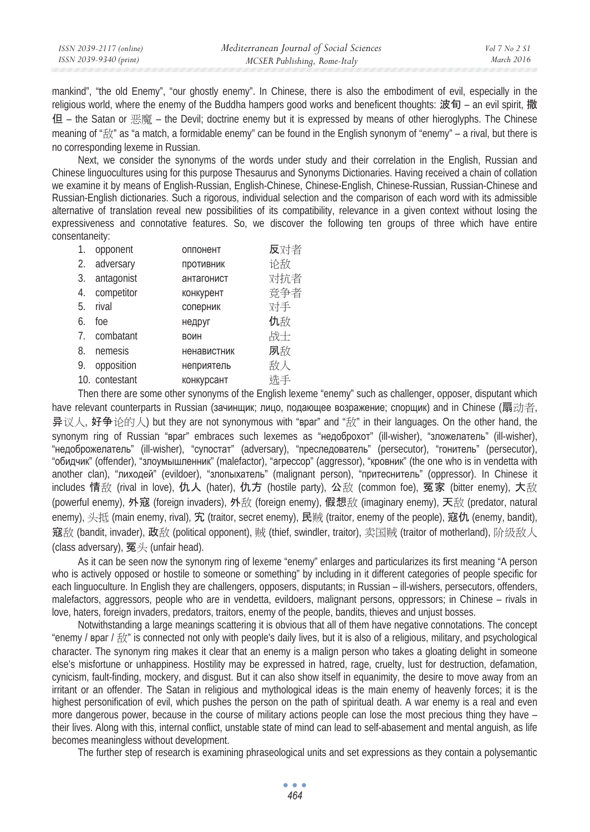| ISSN 2039-2117 (online) | Mediterranean Journal of Social Sciences | Vol 7 No 2 SI |
|-------------------------|------------------------------------------|---------------|
| ISSN 2039-9340 (print)  | MCSER Publishing, Rome-Italy             | March 2016    |

mankind", "the old Enemy", "our ghostly enemy". In Chinese, there is also the embodiment of evil, especially in the religious world, where the enemy of the Buddha hampers good works and beneficent thoughts: 波旬 – an evil spirit, 撒 但 – the Satan or 恶魔 – the Devil; doctrine enemy but it is expressed by means of other hieroglyphs. The Chinese meaning of "敌" as "a match, a formidable enemy" can be found in the English synonym of "enemy" – a rival, but there is no corresponding lexeme in Russian.

Next, we consider the synonyms of the words under study and their correlation in the English, Russian and Chinese linguocultures using for this purpose Thesaurus and Synonyms Dictionaries. Having received a chain of collation we examine it by means of English-Russian, English-Chinese, Chinese-English, Chinese-Russian, Russian-Chinese and Russian-English dictionaries. Such a rigorous, individual selection and the comparison of each word with its admissible alternative of translation reveal new possibilities of its compatibility, relevance in a given context without losing the expressiveness and connotative features. So, we discover the following ten groups of three which have entire consentaneity:

| 1. | opponent       | оппонент    | 反对者 |
|----|----------------|-------------|-----|
| 2. | adversary      | Противник   | 论敌  |
| 3. | antagonist     | антагонист  | 对抗者 |
| 4. | competitor     | конкурент   | 竞争者 |
| 5. | rival          | соперник    | 对手  |
| 6. | foe            | недруг      | 仇敌  |
| 7. | combatant      | <b>BOWH</b> | 战士  |
| 8. | nemesis        | ненавистник | 夙敌  |
| 9. | opposition     | неприятель  | 敌人  |
|    | 10. contestant | конкурсант  | 洗手  |
|    |                |             |     |

Then there are some other synonyms of the English lexeme "enemy" such as challenger, opposer, disputant which have relevant counterparts in Russian (зачинщик; лицо, подающее возражение; спорщик) and in Chinese (扇动者, 异议人, 好争论的人) but they are not synonymous with "**Bpar**" and "敌" in their languages. On the other hand, the synonym ring of Russian "Bpar" embraces such lexemes as "недоброхот" (ill-wisher), "зложелатель" (ill-wisher), "недоброжелатель" (ill-wisher), "супостат" (adversary), "преследователь" (persecutor), "гонитель" (persecutor), "обидчик" (offender), "злоумышленник" (malefactor), "arpeccop" (aggressor), "кровник" (the one who is in vendetta with another clan), "лиходей" (evildoer), "злопыхатель" (malignant person), "притеснитель" (oppressor). In Chinese it includes 情敌 (rival in love), 仇人 (hater), 仇方 (hostile party), 公敌 (common foe), 冤家 (bitter enemy), 大敌 (powerful enemy), 外寇 (foreign invaders), 外敌 (foreign enemy), 假想敌 (imaginary enemy), 天敌 (predator, natural enemy), 头抵 (main enemy, rival), 宄 (traitor, secret enemy), 民贼 (traitor, enemy of the people), 寇仇 (enemy, bandit), 寇敌 (bandit, invader), 政敌 (political opponent), 贼 (thief, swindler, traitor), 卖国贼 (traitor of motherland), 阶级敌人 (class adversary), 冤头 (unfair head).

As it can be seen now the synonym ring of lexeme "enemy" enlarges and particularizes its first meaning "A person who is actively opposed or hostile to someone or something" by including in it different categories of people specific for each linguoculture. In English they are challengers, opposers, disputants; in Russian – ill-wishers, persecutors, offenders, malefactors, aggressors, people who are in vendetta, evildoers, malignant persons, oppressors; in Chinese – rivals in love, haters, foreign invaders, predators, traitors, enemy of the people, bandits, thieves and unjust bosses.

Notwithstanding a large meanings scattering it is obvious that all of them have negative connotations. The concept "enemy /  $\beta$ par /  $\frac{1}{2}$  is connected not only with people's daily lives, but it is also of a religious, military, and psychological character. The synonym ring makes it clear that an enemy is a malign person who takes a gloating delight in someone else's misfortune or unhappiness. Hostility may be expressed in hatred, rage, cruelty, lust for destruction, defamation, cynicism, fault-finding, mockery, and disgust. But it can also show itself in equanimity, the desire to move away from an irritant or an offender. The Satan in religious and mythological ideas is the main enemy of heavenly forces; it is the highest personification of evil, which pushes the person on the path of spiritual death. A war enemy is a real and even more dangerous power, because in the course of military actions people can lose the most precious thing they have – their lives. Along with this, internal conflict, unstable state of mind can lead to self-abasement and mental anguish, as life becomes meaningless without development.

The further step of research is examining phraseological units and set expressions as they contain a polysemantic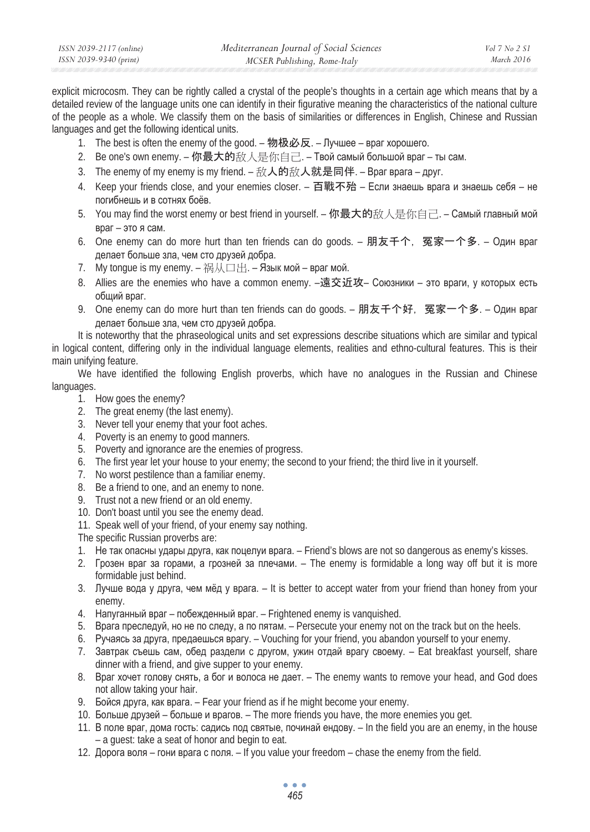| ISSN 2039-2117 (online) | Mediterranean Journal of Social Sciences | Vol 7 No 2 S1 |
|-------------------------|------------------------------------------|---------------|
| ISSN 2039-9340 (print)  | MCSER Publishing, Rome-Italy             | March 2016    |

explicit microcosm. They can be rightly called a crystal of the people's thoughts in a certain age which means that by a detailed review of the language units one can identify in their figurative meaning the characteristics of the national culture of the people as a whole. We classify them on the basis of similarities or differences in English, Chinese and Russian languages and get the following identical units.

- 1. The best is often the enemy of the good. 物极必反. Лучшее враг хорошего.
- 2. Ве one's own enemy. 你最大的敌人是你自己. Твой самый большой враг ты сам.
- 3. The enemy of my enemy is my friend. 敌人的敌人就是同伴. Bpar вpara друг.
- 4. Keep your friends close, and your enemies closer. 百戰不殆 Если знаешь врага и знаешь себя не погибнешь и в сотнях боёв.
- 5. You may find the worst enemy or best friend in yourself. 你最大的敌人是你自己. Самый главный мой  $B$ раг – это я сам.
- 6. One enemy can do more hurt than ten friends can do goods. 朋友千个, 冤家一个多. Один враг делает больше зла, чем сто друзей добра.
- 7. My tonque is my enemy. 祸从口出. Язык мой враг мой.
- 8. Allies are the enemies who have a common enemy. –遠交近攻– Союзники это враги, у которых есть общий враг.
- 9. One enemy can do more hurt than ten friends can do goods. 朋友千个好, 冤家一个多. Один враг делает больше зла, чем сто друзей добра.

It is noteworthy that the phraseological units and set expressions describe situations which are similar and typical in logical content, differing only in the individual language elements, realities and ethno-cultural features. This is their main unifying feature.

We have identified the following English proverbs, which have no analogues in the Russian and Chinese languages.

- 1. How goes the enemy?
- 2. The great enemy (the last enemy).
- 3. Never tell your enemy that your foot aches.
- 4. Poverty is an enemy to good manners.
- 5. Poverty and ignorance are the enemies of progress.
- 6. The first year let your house to your enemy; the second to your friend; the third live in it yourself.
- 7. No worst pestilence than a familiar enemy.
- 8. Be a friend to one, and an enemy to none.
- 9. Trust not a new friend or an old enemy.
- 10. Don't boast until you see the enemy dead.
- 11. Speak well of your friend, of your enemy say nothing.

The specific Russian proverbs are:

- 1. Не так опасны удары друга, как поцелуи врага. Friend's blows are not so dangerous as enemy's kisses.
- 2. Грозен враг за горами, а грозней за плечами. The enemy is formidable a long way off but it is more formidable just behind.
- 3. Лучше вода у друга, чем мёд у врага. It is better to accept water from your friend than honey from your enemy.
- 4. Напуганный враг побежденный враг. Frightened enemy is vanquished.
- 5. Врага преследуй, но не по следу, а по пятам. Persecute your enemy not on the track but on the heels.
- 6. Ручаясь за друга, предаешься врагу. Vouching for your friend, you abandon yourself to your enemy.
- 7. Завтрак съешь сам, обед раздели с другом, ужин отдай врагу своему. Eat breakfast yourself, share dinner with a friend, and give supper to your enemy.
- 8. Враг хочет голову снять, а бог и волоса не дает. The enemy wants to remove your head, and God does not allow taking your hair.
- 9. Бойся друга, как врага. Fear your friend as if he might become your enemy.
- 10. Больше друзей больше и врагов. The more friends you have, the more enemies you get.
- 11. В поле враг, дома гость: садись под святые, починай ендову. In the field you are an enemy, in the house – a guest: take a seat of honor and begin to eat.
- 12. Дорога воля гони врага с поля. If you value your freedom chase the enemy from the field.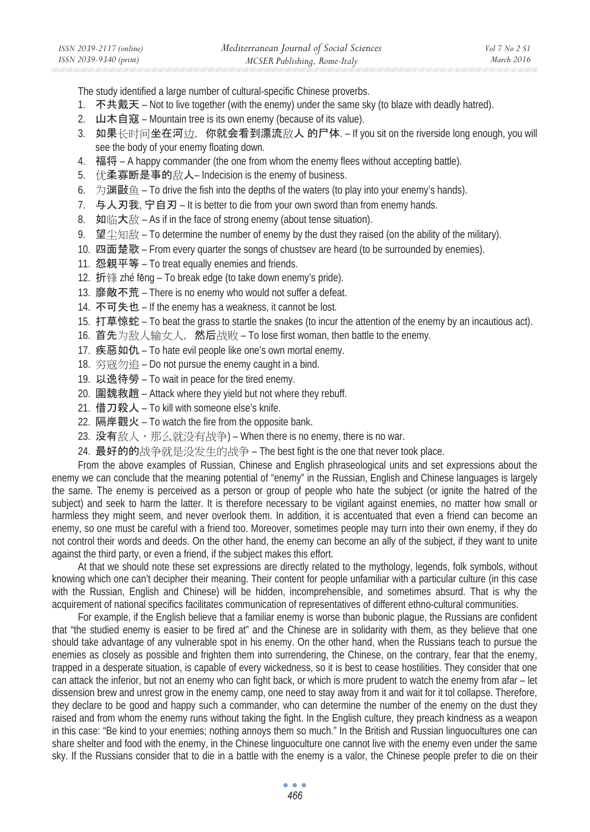The study identified a large number of cultural-specific Chinese proverbs.

- 1. 不共戴天 Not to live together (with the enemy) under the same sky (to blaze with deadly hatred).
- 2. 山木自寇 Mountain tree is its own enemy (because of its value).
- 3. 如果长时间坐在河边, 你就会看到漂流敌人 的尸体. If you sit on the riverside long enough, you will see the body of your enemy floating down.
- 4. 福将 A happy commander (the one from whom the enemy flees without accepting battle).
- 5. 优柔寡断是事的敌人– Indecision is the enemy of business.
- 6. 为渊敺鱼 To drive the fish into the depths of the waters (to play into your enemy's hands).
- 7. 与人刃我, 宁自刃 It is better to die from your own sword than from enemy hands.
- 8. 如临大敌 As if in the face of strong enemy (about tense situation).
- 9. 望尘知敌 To determine the number of enemy by the dust they raised (on the ability of the military).
- 10. 四面楚歌 From every quarter the songs of chustsev are heard (to be surrounded by enemies).
- 11. 怨親平等 To treat equally enemies and friends.
- 12. 折锋 zhé fēng To break edge (to take down enemy's pride).
- 13. 靡敵不荒 There is no enemy who would not suffer a defeat.
- 14. 不可失也 If the enemy has a weakness, it cannot be lost.
- 15. 打草惊蛇 To beat the grass to startle the snakes (to incur the attention of the enemy by an incautious act).
- 16. 首先为敌人输女人, 然后战败 To lose first woman, then battle to the enemy.
- 17. 疾惡如仇 To hate evil people like one's own mortal enemy.
- 18. 穷寇勿追 Do not pursue the enemy caught in a bind.
- 19. 以逸待勞 To wait in peace for the tired enemy.
- 20. 国魏救趙 Attack where they yield but not where they rebuff.
- 21. 借刀殺人 To kill with someone else's knife.
- 22. 隔岸觀火 To watch the fire from the opposite bank.
- 23. 没有敌人,那么就没有战争) When there is no enemy, there is no war.
- 24. 最好的的战争就是没发生的战争 The best fight is the one that never took place.

From the above examples of Russian, Chinese and English phraseological units and set expressions about the enemy we can conclude that the meaning potential of "enemy" in the Russian, English and Chinese languages is largely the same. The enemy is perceived as a person or group of people who hate the subject (or ignite the hatred of the subject) and seek to harm the latter. It is therefore necessary to be vigilant against enemies, no matter how small or harmless they might seem, and never overlook them. In addition, it is accentuated that even a friend can become an enemy, so one must be careful with a friend too. Moreover, sometimes people may turn into their own enemy, if they do not control their words and deeds. On the other hand, the enemy can become an ally of the subject, if they want to unite against the third party, or even a friend, if the subject makes this effort.

At that we should note these set expressions are directly related to the mythology, legends, folk symbols, without knowing which one can't decipher their meaning. Their content for people unfamiliar with a particular culture (in this case with the Russian, English and Chinese) will be hidden, incomprehensible, and sometimes absurd. That is why the acquirement of national specifics facilitates communication of representatives of different ethno-cultural communities.

For example, if the English believe that a familiar enemy is worse than bubonic plague, the Russians are confident that "the studied enemy is easier to be fired at" and the Chinese are in solidarity with them, as they believe that one should take advantage of any vulnerable spot in his enemy. On the other hand, when the Russians teach to pursue the enemies as closely as possible and frighten them into surrendering, the Chinese, on the contrary, fear that the enemy, trapped in a desperate situation, is capable of every wickedness, so it is best to cease hostilities. They consider that one can attack the inferior, but not an enemy who can fight back, or which is more prudent to watch the enemy from afar – let dissension brew and unrest grow in the enemy camp, one need to stay away from it and wait for it tol collapse. Therefore, they declare to be good and happy such a commander, who can determine the number of the enemy on the dust they raised and from whom the enemy runs without taking the fight. In the English culture, they preach kindness as a weapon in this case: "Be kind to your enemies; nothing annoys them so much." In the British and Russian linguocultures one can share shelter and food with the enemy, in the Chinese linguoculture one cannot live with the enemy even under the same sky. If the Russians consider that to die in a battle with the enemy is a valor, the Chinese people prefer to die on their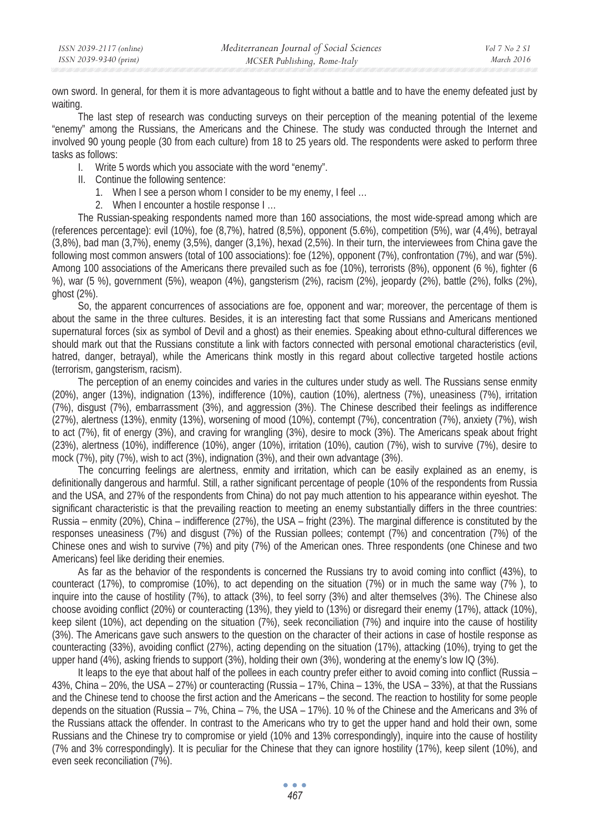own sword. In general, for them it is more advantageous to fight without a battle and to have the enemy defeated just by waiting.

The last step of research was conducting surveys on their perception of the meaning potential of the lexeme "enemy" among the Russians, the Americans and the Chinese. The study was conducted through the Internet and involved 90 young people (30 from each culture) from 18 to 25 years old. The respondents were asked to perform three tasks as follows:

- I. Write 5 words which you associate with the word "enemy".
- II. Continue the following sentence:
	- 1. When I see a person whom I consider to be my enemy, I feel …
	- 2. When I encounter a hostile response I …

The Russian-speaking respondents named more than 160 associations, the most wide-spread among which are (references percentage): evil (10%), foe (8,7%), hatred (8,5%), opponent (5.6%), competition (5%), war (4,4%), betrayal (3,8%), bad man (3,7%), enemy (3,5%), danger (3,1%), hexad (2,5%). In their turn, the interviewees from China gave the following most common answers (total of 100 associations): foe (12%), opponent (7%), confrontation (7%), and war (5%). Among 100 associations of the Americans there prevailed such as foe (10%), terrorists (8%), opponent (6 %), fighter (6 %), war (5 %), government (5%), weapon (4%), gangsterism (2%), racism (2%), jeopardy (2%), battle (2%), folks (2%), ghost (2%).

So, the apparent concurrences of associations are foe, opponent and war; moreover, the percentage of them is about the same in the three cultures. Besides, it is an interesting fact that some Russians and Americans mentioned supernatural forces (six as symbol of Devil and a ghost) as their enemies. Speaking about ethno-cultural differences we should mark out that the Russians constitute a link with factors connected with personal emotional characteristics (evil, hatred, danger, betrayal), while the Americans think mostly in this regard about collective targeted hostile actions (terrorism, gangsterism, racism).

The perception of an enemy coincides and varies in the cultures under study as well. The Russians sense enmity (20%), anger (13%), indignation (13%), indifference (10%), caution (10%), alertness (7%), uneasiness (7%), irritation (7%), disgust (7%), embarrassment (3%), and aggression (3%). The Chinese described their feelings as indifference (27%), alertness (13%), enmity (13%), worsening of mood (10%), contempt (7%), concentration (7%), anxiety (7%), wish to act (7%), fit of energy (3%), and craving for wrangling (3%), desire to mock (3%). The Americans speak about fright (23%), alertness (10%), indifference (10%), anger (10%), irritation (10%), caution (7%), wish to survive (7%), desire to mock (7%), pity (7%), wish to act (3%), indignation (3%), and their own advantage (3%).

The concurring feelings are alertness, enmity and irritation, which can be easily explained as an enemy, is definitionally dangerous and harmful. Still, a rather significant percentage of people (10% of the respondents from Russia and the USA, and 27% of the respondents from China) do not pay much attention to his appearance within eyeshot. The significant characteristic is that the prevailing reaction to meeting an enemy substantially differs in the three countries: Russia – enmity (20%), China – indifference (27%), the USA – fright (23%). The marginal difference is constituted by the responses uneasiness (7%) and disgust (7%) of the Russian pollees; contempt (7%) and concentration (7%) of the Chinese ones and wish to survive (7%) and pity (7%) of the American ones. Three respondents (one Chinese and two Americans) feel like deriding their enemies.

As far as the behavior of the respondents is concerned the Russians try to avoid coming into conflict (43%), to counteract (17%), to compromise (10%), to act depending on the situation (7%) or in much the same way (7%), to inquire into the cause of hostility (7%), to attack (3%), to feel sorry (3%) and alter themselves (3%). The Chinese also choose avoiding conflict (20%) or counteracting (13%), they yield to (13%) or disregard their enemy (17%), attack (10%), keep silent (10%), act depending on the situation (7%), seek reconciliation (7%) and inquire into the cause of hostility (3%). The Americans gave such answers to the question on the character of their actions in case of hostile response as counteracting (33%), avoiding conflict (27%), acting depending on the situation (17%), attacking (10%), trying to get the upper hand (4%), asking friends to support (3%), holding their own (3%), wondering at the enemy's low IQ (3%).

It leaps to the eye that about half of the pollees in each country prefer either to avoid coming into conflict (Russia – 43%, China – 20%, the USA – 27%) or counteracting (Russia – 17%, China – 13%, the USA – 33%), at that the Russians and the Chinese tend to choose the first action and the Americans – the second. The reaction to hostility for some people depends on the situation (Russia – 7%, China – 7%, the USA – 17%). 10 % of the Chinese and the Americans and 3% of the Russians attack the offender. In contrast to the Americans who try to get the upper hand and hold their own, some Russians and the Chinese try to compromise or yield (10% and 13% correspondingly), inquire into the cause of hostility (7% and 3% correspondingly). It is peculiar for the Chinese that they can ignore hostility (17%), keep silent (10%), and even seek reconciliation (7%).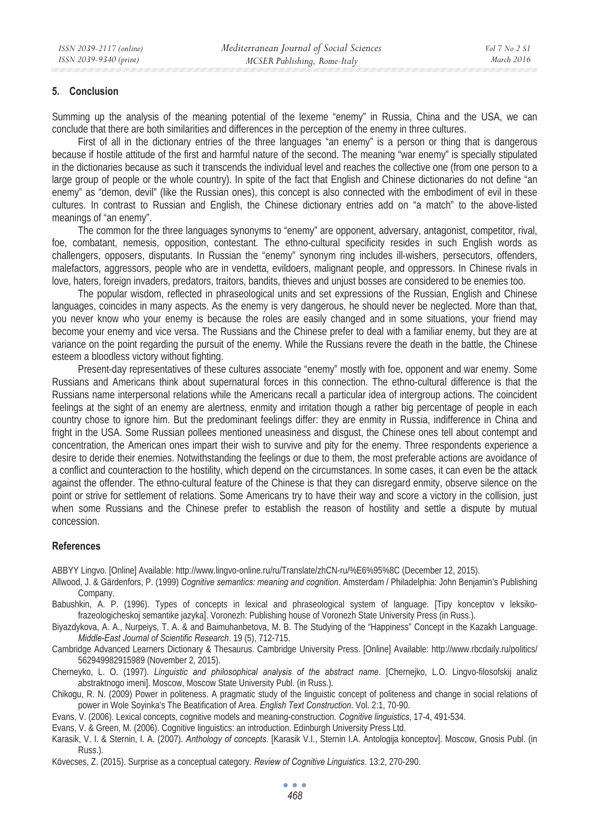#### **5. Conclusion**

Summing up the analysis of the meaning potential of the lexeme "enemy" in Russia, China and the USA, we can conclude that there are both similarities and differences in the perception of the enemy in three cultures.

First of all in the dictionary entries of the three languages "an enemy" is a person or thing that is dangerous because if hostile attitude of the first and harmful nature of the second. The meaning "war enemy" is specially stipulated in the dictionaries because as such it transcends the individual level and reaches the collective one (from one person to a large group of people or the whole country). In spite of the fact that English and Chinese dictionaries do not define "an enemy" as "demon, devil" (like the Russian ones), this concept is also connected with the embodiment of evil in these cultures. In contrast to Russian and English, the Chinese dictionary entries add on "a match" to the above-listed meanings of "an enemy".

The common for the three languages synonyms to "enemy" are opponent, adversary, antagonist, competitor, rival, foe, combatant, nemesis, opposition, contestant. The ethno-cultural specificity resides in such English words as challengers, opposers, disputants. In Russian the "enemy" synonym ring includes ill-wishers, persecutors, offenders, malefactors, aggressors, people who are in vendetta, evildoers, malignant people, and oppressors. In Chinese rivals in love, haters, foreign invaders, predators, traitors, bandits, thieves and unjust bosses are considered to be enemies too.

The popular wisdom, reflected in phraseological units and set expressions of the Russian, English and Chinese languages, coincides in many aspects. As the enemy is very dangerous, he should never be neglected. More than that, you never know who your enemy is because the roles are easily changed and in some situations, your friend may become your enemy and vice versa. The Russians and the Chinese prefer to deal with a familiar enemy, but they are at variance on the point regarding the pursuit of the enemy. While the Russians revere the death in the battle, the Chinese esteem a bloodless victory without fighting.

Present-day representatives of these cultures associate "enemy" mostly with foe, opponent and war enemy. Some Russians and Americans think about supernatural forces in this connection. The ethno-cultural difference is that the Russians name interpersonal relations while the Americans recall a particular idea of intergroup actions. The coincident feelings at the sight of an enemy are alertness, enmity and irritation though a rather big percentage of people in each country chose to ignore him. But the predominant feelings differ: they are enmity in Russia, indifference in China and fright in the USA. Some Russian pollees mentioned uneasiness and disgust, the Chinese ones tell about contempt and concentration, the American ones impart their wish to survive and pity for the enemy. Three respondents experience a desire to deride their enemies. Notwithstanding the feelings or due to them, the most preferable actions are avoidance of a conflict and counteraction to the hostility, which depend on the circumstances. In some cases, it can even be the attack against the offender. The ethno-cultural feature of the Chinese is that they can disregard enmity, observe silence on the point or strive for settlement of relations. Some Americans try to have their way and score a victory in the collision, just when some Russians and the Chinese prefer to establish the reason of hostility and settle a dispute by mutual concession.

#### **References**

ABBYY Lingvo. [Online] Available: http://www.lingvo-online.ru/ru/Translate/zhCN-ru/%E6%95%8C (December 12, 2015).

- Allwood, J. & Gärdenfors, P. (1999) *Cognitive semantics: meaning and cognition*. Amsterdam / Philadelphia: John Benjamin's Publishing Company.
- Babushkin, A. P. (1996). Types of concepts in lexical and phraseological system of language. [Tipy konceptov v leksikofrazeologicheskoj semantike jazyka]. Voronezh: Publishing house of Voronezh State University Press (in Russ.).
- Biyazdykova, A. A., Nurpeiys, T. A. & and Baimuhanbetova, M. B. The Studying of the "Happiness" Concept in the Kazakh Language. *Middle-East Journal of Scientific Research*. 19 (5), 712-715.
- Cambridge Advanced Learners Dictionary & Thesaurus. Cambridge University Press. [Online] Available: http://www.rbcdaily.ru/politics/ 562949982915989 (November 2, 2015).
- Cherneyko, L. O. (1997). *Linguistic and philosophical analysis of the abstract name*. [Chernejko, L.O. Lingvo-filosofskij analiz abstraktnogo imeni]. Moscow, Moscow State University Publ. (in Russ.).
- Chikogu, R. N. (2009) Power in politeness. A pragmatic study of the linguistic concept of politeness and change in social relations of power in Wole Soyinka's The Beatification of Area. *English Text Construction*. Vol. 2:1, 70-90.
- Evans, V. (2006). Lexical concepts, cognitive models and meaning-construction. *Cognitive linguistics*, 17-4, 491-534.
- Evans, V. & Green, M. (2006). Cognitive linguistics: an introduction. Edinburgh University Press Ltd.
- Karasik, V. I. & Sternin, I. A. (2007). *Anthology of concepts*. [Karasik V.I., Sternin I.A. Antologija konceptov]. Moscow, Gnosis Publ. (in Russ.)
- Kövecses, Z. (2015). Surprise as a conceptual category. *Review of Cognitive Linguistics*. 13:2, 270-290.